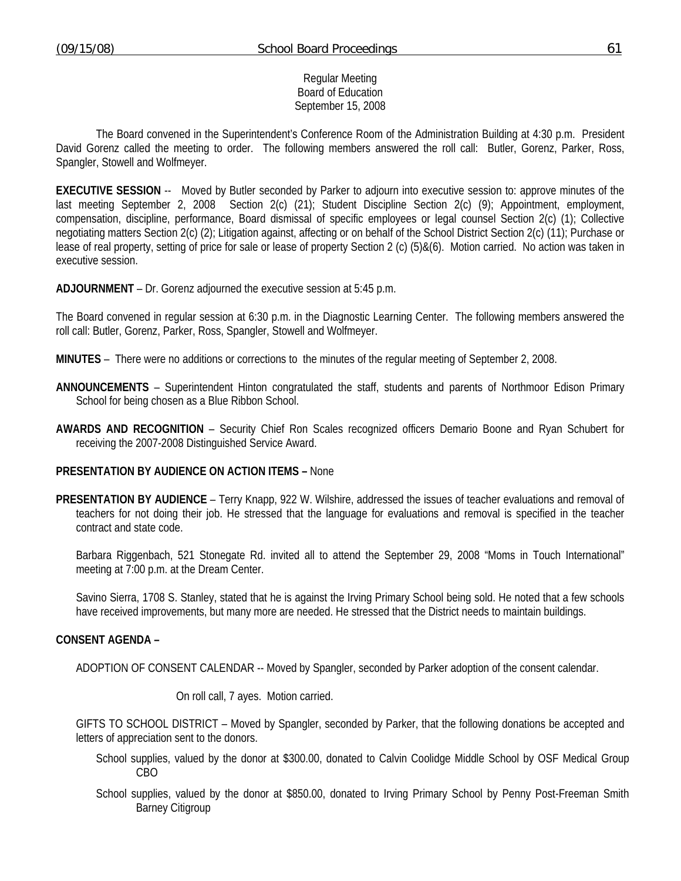#### Regular Meeting Board of Education September 15, 2008

 The Board convened in the Superintendent's Conference Room of the Administration Building at 4:30 p.m. President David Gorenz called the meeting to order. The following members answered the roll call: Butler, Gorenz, Parker, Ross, Spangler, Stowell and Wolfmeyer.

**EXECUTIVE SESSION** -- Moved by Butler seconded by Parker to adjourn into executive session to: approve minutes of the last meeting September 2, 2008 Section 2(c) (21); Student Discipline Section 2(c) (9); Appointment, employment, compensation, discipline, performance, Board dismissal of specific employees or legal counsel Section 2(c) (1); Collective negotiating matters Section 2(c) (2); Litigation against, affecting or on behalf of the School District Section 2(c) (11); Purchase or lease of real property, setting of price for sale or lease of property Section 2 (c) (5)&(6). Motion carried. No action was taken in executive session.

**ADJOURNMENT** – Dr. Gorenz adjourned the executive session at 5:45 p.m.

The Board convened in regular session at 6:30 p.m. in the Diagnostic Learning Center. The following members answered the roll call: Butler, Gorenz, Parker, Ross, Spangler, Stowell and Wolfmeyer.

**MINUTES** – There were no additions or corrections to the minutes of the regular meeting of September 2, 2008.

- **ANNOUNCEMENTS** Superintendent Hinton congratulated the staff, students and parents of Northmoor Edison Primary School for being chosen as a Blue Ribbon School.
- **AWARDS AND RECOGNITION** Security Chief Ron Scales recognized officers Demario Boone and Ryan Schubert for receiving the 2007-2008 Distinguished Service Award.

### **PRESENTATION BY AUDIENCE ON ACTION ITEMS –** None

**PRESENTATION BY AUDIENCE** – Terry Knapp, 922 W. Wilshire, addressed the issues of teacher evaluations and removal of teachers for not doing their job. He stressed that the language for evaluations and removal is specified in the teacher contract and state code.

 Barbara Riggenbach, 521 Stonegate Rd. invited all to attend the September 29, 2008 "Moms in Touch International" meeting at 7:00 p.m. at the Dream Center.

 Savino Sierra, 1708 S. Stanley, stated that he is against the Irving Primary School being sold. He noted that a few schools have received improvements, but many more are needed. He stressed that the District needs to maintain buildings.

#### **CONSENT AGENDA –**

ADOPTION OF CONSENT CALENDAR -- Moved by Spangler, seconded by Parker adoption of the consent calendar.

On roll call, 7 ayes. Motion carried.

GIFTS TO SCHOOL DISTRICT – Moved by Spangler, seconded by Parker, that the following donations be accepted and letters of appreciation sent to the donors.

- School supplies, valued by the donor at \$300.00, donated to Calvin Coolidge Middle School by OSF Medical Group CBO
- School supplies, valued by the donor at \$850.00, donated to Irving Primary School by Penny Post-Freeman Smith Barney Citigroup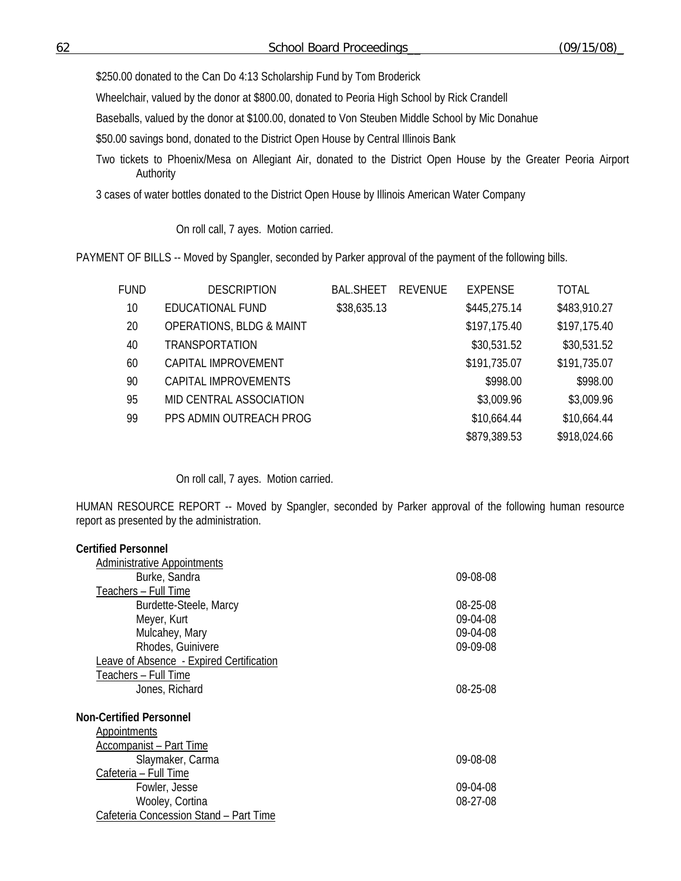\$250.00 donated to the Can Do 4:13 Scholarship Fund by Tom Broderick

Wheelchair, valued by the donor at \$800.00, donated to Peoria High School by Rick Crandell

Baseballs, valued by the donor at \$100.00, donated to Von Steuben Middle School by Mic Donahue

\$50.00 savings bond, donated to the District Open House by Central Illinois Bank

Two tickets to Phoenix/Mesa on Allegiant Air, donated to the District Open House by the Greater Peoria Airport Authority

3 cases of water bottles donated to the District Open House by Illinois American Water Company

On roll call, 7 ayes. Motion carried.

PAYMENT OF BILLS -- Moved by Spangler, seconded by Parker approval of the payment of the following bills.

| FUND | <b>DESCRIPTION</b>                  | <b>BAL.SHEET</b> | <b>REVENUE</b> | <b>EXPENSE</b> | <b>TOTAL</b> |
|------|-------------------------------------|------------------|----------------|----------------|--------------|
| 10   | EDUCATIONAL FUND                    | \$38,635.13      |                | \$445,275.14   | \$483,910.27 |
| 20   | <b>OPERATIONS, BLDG &amp; MAINT</b> |                  |                | \$197,175.40   | \$197,175.40 |
| 40   | <b>TRANSPORTATION</b>               |                  |                | \$30,531.52    | \$30,531.52  |
| 60   | CAPITAL IMPROVEMENT                 |                  |                | \$191,735.07   | \$191,735.07 |
| 90   | CAPITAL IMPROVEMENTS                |                  |                | \$998.00       | \$998.00     |
| 95   | MID CENTRAL ASSOCIATION             |                  |                | \$3,009.96     | \$3,009.96   |
| 99   | PPS ADMIN OUTREACH PROG             |                  |                | \$10,664.44    | \$10,664.44  |
|      |                                     |                  |                | \$879,389.53   | \$918,024.66 |

On roll call, 7 ayes. Motion carried.

HUMAN RESOURCE REPORT -- Moved by Spangler, seconded by Parker approval of the following human resource report as presented by the administration.

| <b>Certified Personnel</b>               |          |
|------------------------------------------|----------|
| <b>Administrative Appointments</b>       |          |
| Burke, Sandra                            | 09-08-08 |
| Teachers - Full Time                     |          |
| Burdette-Steele, Marcy                   | 08-25-08 |
| Meyer, Kurt                              | 09-04-08 |
| Mulcahey, Mary                           | 09-04-08 |
| Rhodes, Guinivere                        | 09-09-08 |
| Leave of Absence - Expired Certification |          |
| Teachers – Full Time                     |          |
| Jones, Richard                           | 08-25-08 |
| <b>Non-Certified Personnel</b>           |          |
| <b>Appointments</b>                      |          |
| Accompanist - Part Time                  |          |
| Slaymaker, Carma                         | 09-08-08 |
| Cafeteria - Full Time                    |          |
| Fowler, Jesse                            | 09-04-08 |
| Wooley, Cortina                          | 08-27-08 |
| Cafeteria Concession Stand - Part Time   |          |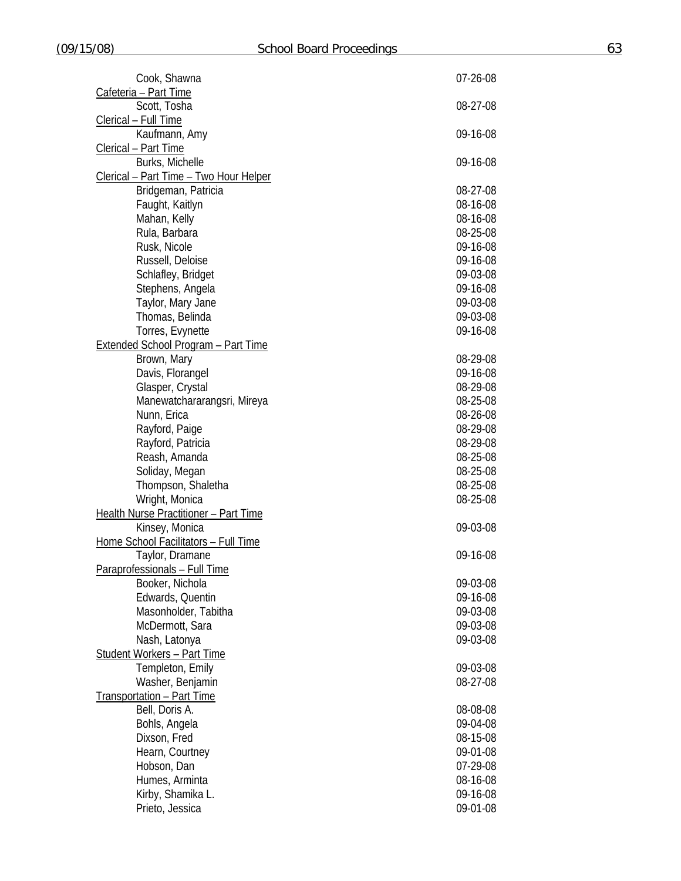| Cook, Shawna                           | 07-26-08 |
|----------------------------------------|----------|
| Cafeteria - Part Time                  |          |
| Scott, Tosha                           | 08-27-08 |
| Clerical - Full Time                   |          |
| Kaufmann, Amy                          | 09-16-08 |
| <b>Clerical - Part Time</b>            |          |
| Burks, Michelle                        | 09-16-08 |
| Clerical - Part Time - Two Hour Helper |          |
| Bridgeman, Patricia                    | 08-27-08 |
| Faught, Kaitlyn                        | 08-16-08 |
| Mahan, Kelly                           | 08-16-08 |
| Rula, Barbara                          | 08-25-08 |
| Rusk, Nicole                           | 09-16-08 |
| Russell, Deloise                       | 09-16-08 |
|                                        |          |
| Schlafley, Bridget                     | 09-03-08 |
| Stephens, Angela                       | 09-16-08 |
| Taylor, Mary Jane                      | 09-03-08 |
| Thomas, Belinda                        | 09-03-08 |
| Torres, Evynette                       | 09-16-08 |
| Extended School Program - Part Time    |          |
| Brown, Mary                            | 08-29-08 |
| Davis, Florangel                       | 09-16-08 |
| Glasper, Crystal                       | 08-29-08 |
| Manewatchararangsri, Mireya            | 08-25-08 |
| Nunn, Erica                            | 08-26-08 |
| Rayford, Paige                         | 08-29-08 |
| Rayford, Patricia                      | 08-29-08 |
| Reash, Amanda                          | 08-25-08 |
| Soliday, Megan                         | 08-25-08 |
| Thompson, Shaletha                     | 08-25-08 |
| Wright, Monica                         | 08-25-08 |
| Health Nurse Practitioner - Part Time  |          |
| Kinsey, Monica                         | 09-03-08 |
| Home School Facilitators - Full Time   |          |
| Taylor, Dramane                        | 09-16-08 |
| Paraprofessionals - Full Time          |          |
| Booker, Nichola                        | 09-03-08 |
| Edwards, Quentin                       | 09-16-08 |
| Masonholder, Tabitha                   | 09-03-08 |
| McDermott, Sara                        | 09-03-08 |
| Nash, Latonya                          | 09-03-08 |
| <b>Student Workers - Part Time</b>     |          |
| Templeton, Emily                       | 09-03-08 |
| Washer, Benjamin                       | 08-27-08 |
| Transportation - Part Time             |          |
| Bell, Doris A.                         | 08-08-08 |
|                                        | 09-04-08 |
| Bohls, Angela                          |          |
| Dixson, Fred                           | 08-15-08 |
| Hearn, Courtney                        | 09-01-08 |
| Hobson, Dan                            | 07-29-08 |
| Humes, Arminta                         | 08-16-08 |
| Kirby, Shamika L.                      | 09-16-08 |
| Prieto, Jessica                        | 09-01-08 |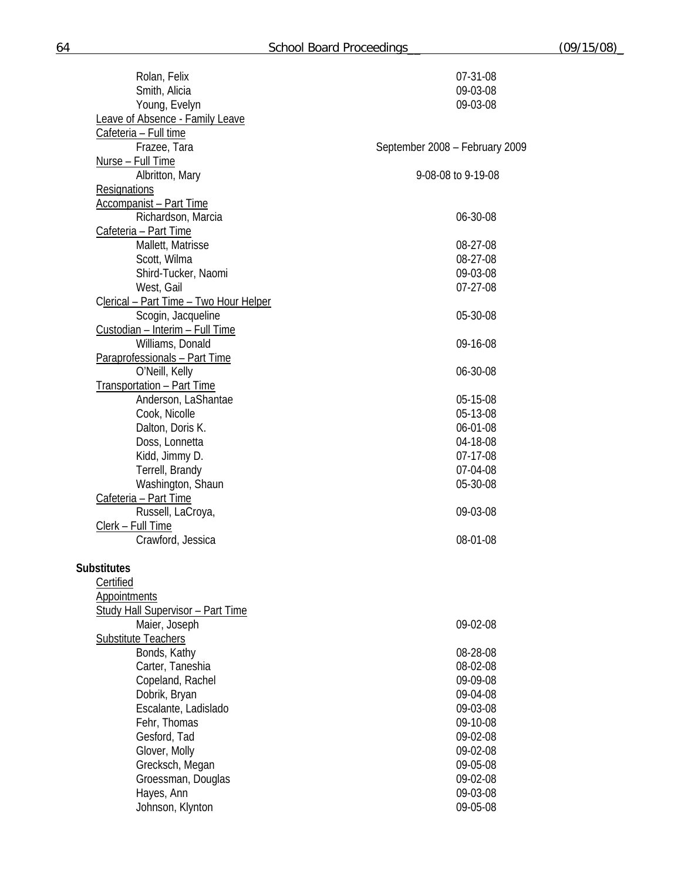| Rolan, Felix                             | 07-31-08                       |
|------------------------------------------|--------------------------------|
| Smith, Alicia                            | 09-03-08                       |
| Young, Evelyn                            | 09-03-08                       |
| Leave of Absence - Family Leave          |                                |
| Cafeteria - Full time                    |                                |
| Frazee, Tara                             | September 2008 - February 2009 |
| Nurse - Full Time                        |                                |
| Albritton, Mary                          | 9-08-08 to 9-19-08             |
| Resignations                             |                                |
| <b>Accompanist - Part Time</b>           |                                |
| Richardson, Marcia                       | 06-30-08                       |
|                                          |                                |
| Cafeteria - Part Time                    |                                |
| Mallett, Matrisse                        | 08-27-08                       |
| Scott, Wilma                             | 08-27-08                       |
| Shird-Tucker, Naomi                      | 09-03-08                       |
| West, Gail                               | 07-27-08                       |
| Clerical - Part Time - Two Hour Helper   |                                |
| Scogin, Jacqueline                       | 05-30-08                       |
| Custodian - Interim - Full Time          |                                |
| Williams, Donald                         | 09-16-08                       |
| Paraprofessionals - Part Time            |                                |
| O'Neill, Kelly                           | 06-30-08                       |
| Transportation - Part Time               |                                |
| Anderson, LaShantae                      | 05-15-08                       |
| Cook, Nicolle                            | 05-13-08                       |
| Dalton, Doris K.                         | 06-01-08                       |
| Doss, Lonnetta                           | 04-18-08                       |
| Kidd, Jimmy D.                           | 07-17-08                       |
| Terrell, Brandy                          | 07-04-08                       |
| Washington, Shaun                        | 05-30-08                       |
| Cafeteria - Part Time                    |                                |
| Russell, LaCroya,                        | 09-03-08                       |
|                                          |                                |
| Clerk - Full Time                        |                                |
| Crawford, Jessica                        | 08-01-08                       |
|                                          |                                |
| <b>Substitutes</b>                       |                                |
| Certified                                |                                |
| <b>Appointments</b>                      |                                |
| <b>Study Hall Supervisor - Part Time</b> |                                |
| Maier, Joseph                            | 09-02-08                       |
| <b>Substitute Teachers</b>               |                                |
| Bonds, Kathy                             | 08-28-08                       |
| Carter, Taneshia                         | 08-02-08                       |
| Copeland, Rachel                         | 09-09-08                       |
| Dobrik, Bryan                            | 09-04-08                       |
| Escalante, Ladislado                     | 09-03-08                       |
| Fehr, Thomas                             | 09-10-08                       |
| Gesford, Tad                             | 09-02-08                       |
| Glover, Molly                            | 09-02-08                       |
| Grecksch, Megan                          | 09-05-08                       |
| Groessman, Douglas                       | 09-02-08                       |
|                                          | 09-03-08                       |
| Hayes, Ann                               |                                |
| Johnson, Klynton                         | 09-05-08                       |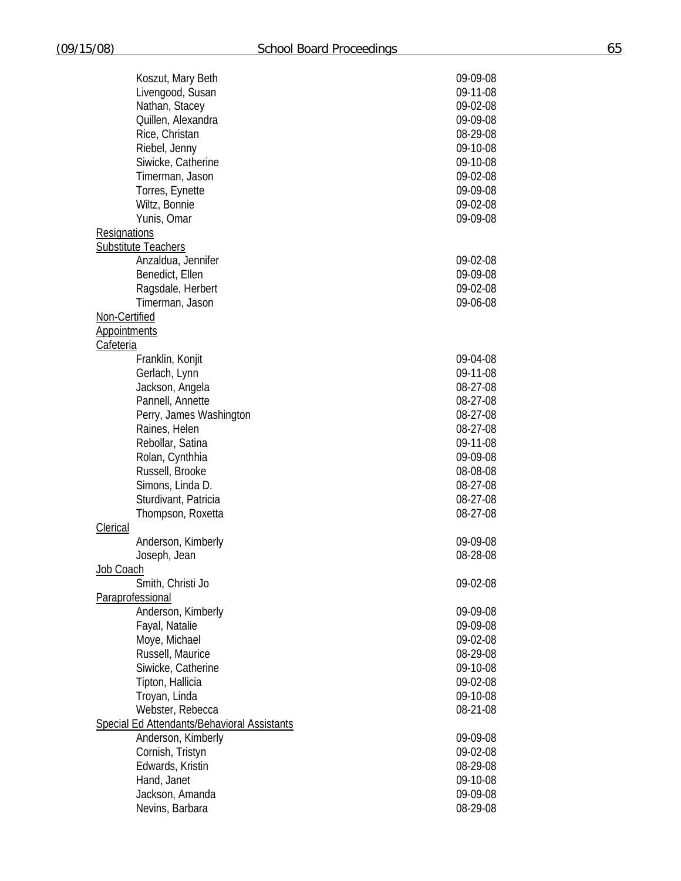| Koszut, Mary Beth                           | 09-09-08 |
|---------------------------------------------|----------|
| Livengood, Susan                            | 09-11-08 |
| Nathan, Stacey                              | 09-02-08 |
| Quillen, Alexandra                          | 09-09-08 |
| Rice, Christan                              | 08-29-08 |
| Riebel, Jenny                               | 09-10-08 |
| Siwicke, Catherine                          | 09-10-08 |
| Timerman, Jason                             | 09-02-08 |
| Torres, Eynette                             | 09-09-08 |
| Wiltz, Bonnie                               | 09-02-08 |
| Yunis, Omar                                 | 09-09-08 |
|                                             |          |
| <b>Resignations</b>                         |          |
| <b>Substitute Teachers</b>                  |          |
| Anzaldua, Jennifer                          | 09-02-08 |
| Benedict, Ellen                             | 09-09-08 |
| Ragsdale, Herbert                           | 09-02-08 |
| Timerman, Jason                             | 09-06-08 |
| Non-Certified                               |          |
| <b>Appointments</b>                         |          |
| Cafeteria                                   |          |
| Franklin, Konjit                            | 09-04-08 |
| Gerlach, Lynn                               | 09-11-08 |
| Jackson, Angela                             | 08-27-08 |
| Pannell, Annette                            | 08-27-08 |
| Perry, James Washington                     | 08-27-08 |
| Raines, Helen                               | 08-27-08 |
| Rebollar, Satina                            | 09-11-08 |
| Rolan, Cynthhia                             | 09-09-08 |
| Russell, Brooke                             | 08-08-08 |
| Simons, Linda D.                            | 08-27-08 |
| Sturdivant, Patricia                        | 08-27-08 |
| Thompson, Roxetta                           | 08-27-08 |
| Clerical                                    |          |
|                                             | 09-09-08 |
| Anderson, Kimberly                          | 08-28-08 |
| Joseph, Jean                                |          |
| Job Coach                                   |          |
| Smith, Christi Jo                           | 09-02-08 |
| Paraprofessional                            |          |
| Anderson, Kimberly                          | 09-09-08 |
| Fayal, Natalie                              | 09-09-08 |
| Moye, Michael                               | 09-02-08 |
| Russell, Maurice                            | 08-29-08 |
| Siwicke, Catherine                          | 09-10-08 |
| Tipton, Hallicia                            | 09-02-08 |
| Troyan, Linda                               | 09-10-08 |
| Webster, Rebecca                            | 08-21-08 |
| Special Ed Attendants/Behavioral Assistants |          |
| Anderson, Kimberly                          | 09-09-08 |
| Cornish, Tristyn                            | 09-02-08 |
| Edwards, Kristin                            | 08-29-08 |
| Hand, Janet                                 | 09-10-08 |
| Jackson, Amanda                             | 09-09-08 |
| Nevins, Barbara                             | 08-29-08 |
|                                             |          |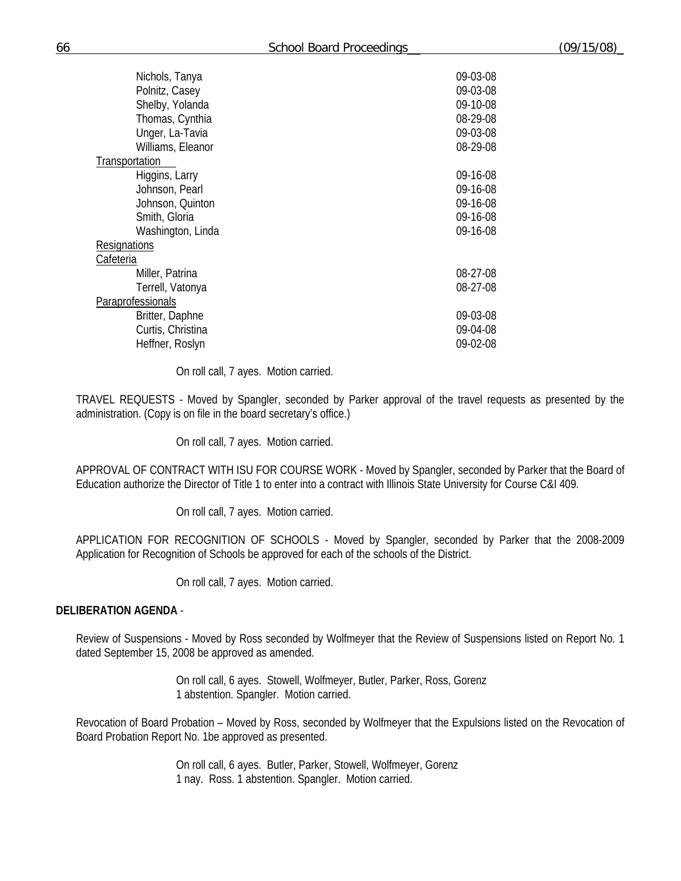| Nichols, Tanya           | 09-03-08 |
|--------------------------|----------|
| Polnitz, Casey           | 09-03-08 |
| Shelby, Yolanda          | 09-10-08 |
| Thomas, Cynthia          | 08-29-08 |
| Unger, La-Tavia          | 09-03-08 |
| Williams, Eleanor        | 08-29-08 |
| Transportation           |          |
| Higgins, Larry           | 09-16-08 |
| Johnson, Pearl           | 09-16-08 |
| Johnson, Quinton         | 09-16-08 |
| Smith, Gloria            | 09-16-08 |
| Washington, Linda        | 09-16-08 |
| Resignations             |          |
| Cafeteria                |          |
| Miller, Patrina          | 08-27-08 |
| Terrell, Vatonya         | 08-27-08 |
| <b>Paraprofessionals</b> |          |
| Britter, Daphne          | 09-03-08 |
| Curtis, Christina        | 09-04-08 |
| Heffner, Roslyn          | 09-02-08 |

On roll call, 7 ayes. Motion carried.

TRAVEL REQUESTS - Moved by Spangler, seconded by Parker approval of the travel requests as presented by the administration. (Copy is on file in the board secretary's office.)

On roll call, 7 ayes. Motion carried.

APPROVAL OF CONTRACT WITH ISU FOR COURSE WORK - Moved by Spangler, seconded by Parker that the Board of Education authorize the Director of Title 1 to enter into a contract with Illinois State University for Course C&I 409.

On roll call, 7 ayes. Motion carried.

APPLICATION FOR RECOGNITION OF SCHOOLS - Moved by Spangler, seconded by Parker that the 2008-2009 Application for Recognition of Schools be approved for each of the schools of the District.

On roll call, 7 ayes. Motion carried.

### **DELIBERATION AGENDA** -

Review of Suspensions - Moved by Ross seconded by Wolfmeyer that the Review of Suspensions listed on Report No. 1 dated September 15, 2008 be approved as amended.

> On roll call, 6 ayes. Stowell, Wolfmeyer, Butler, Parker, Ross, Gorenz 1 abstention. Spangler. Motion carried.

Revocation of Board Probation – Moved by Ross, seconded by Wolfmeyer that the Expulsions listed on the Revocation of Board Probation Report No. 1be approved as presented.

> On roll call, 6 ayes. Butler, Parker, Stowell, Wolfmeyer, Gorenz 1 nay. Ross. 1 abstention. Spangler. Motion carried.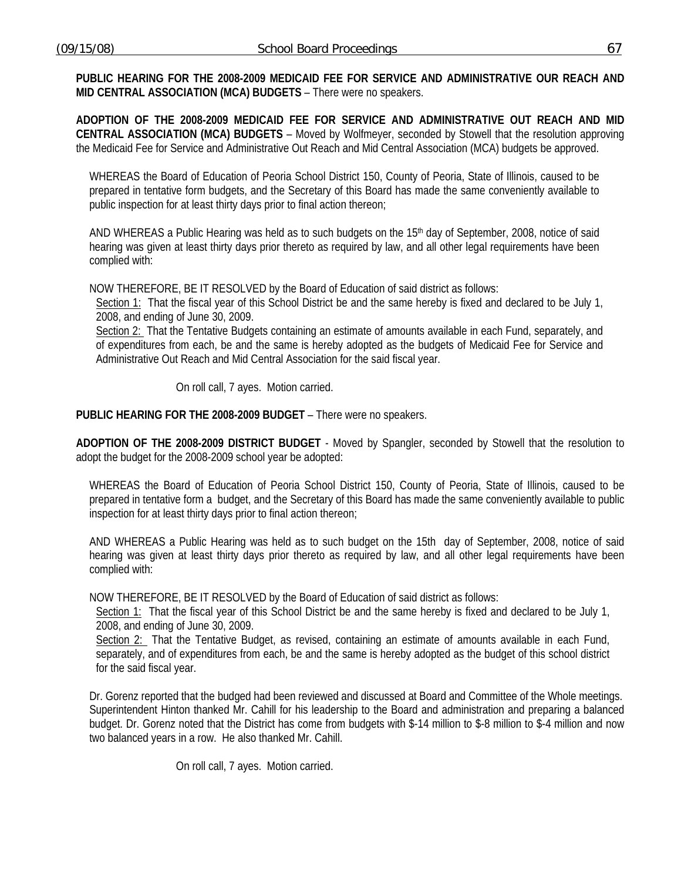**PUBLIC HEARING FOR THE 2008-2009 MEDICAID FEE FOR SERVICE AND ADMINISTRATIVE OUR REACH AND MID CENTRAL ASSOCIATION (MCA) BUDGETS** – There were no speakers.

**ADOPTION OF THE 2008-2009 MEDICAID FEE FOR SERVICE AND ADMINISTRATIVE OUT REACH AND MID CENTRAL ASSOCIATION (MCA) BUDGETS** – Moved by Wolfmeyer, seconded by Stowell that the resolution approving the Medicaid Fee for Service and Administrative Out Reach and Mid Central Association (MCA) budgets be approved.

WHEREAS the Board of Education of Peoria School District 150, County of Peoria, State of Illinois, caused to be prepared in tentative form budgets, and the Secretary of this Board has made the same conveniently available to public inspection for at least thirty days prior to final action thereon;

AND WHEREAS a Public Hearing was held as to such budgets on the 15<sup>th</sup> day of September, 2008, notice of said hearing was given at least thirty days prior thereto as required by law, and all other legal requirements have been complied with:

NOW THEREFORE, BE IT RESOLVED by the Board of Education of said district as follows:

Section 1: That the fiscal year of this School District be and the same hereby is fixed and declared to be July 1, 2008, and ending of June 30, 2009.

Section 2: That the Tentative Budgets containing an estimate of amounts available in each Fund, separately, and of expenditures from each, be and the same is hereby adopted as the budgets of Medicaid Fee for Service and Administrative Out Reach and Mid Central Association for the said fiscal year.

On roll call, 7 ayes. Motion carried.

**PUBLIC HEARING FOR THE 2008-2009 BUDGET** – There were no speakers.

**ADOPTION OF THE 2008-2009 DISTRICT BUDGET** - Moved by Spangler, seconded by Stowell that the resolution to adopt the budget for the 2008-2009 school year be adopted:

WHEREAS the Board of Education of Peoria School District 150, County of Peoria, State of Illinois, caused to be prepared in tentative form a budget, and the Secretary of this Board has made the same conveniently available to public inspection for at least thirty days prior to final action thereon;

AND WHEREAS a Public Hearing was held as to such budget on the 15th day of September, 2008, notice of said hearing was given at least thirty days prior thereto as required by law, and all other legal requirements have been complied with:

NOW THEREFORE, BE IT RESOLVED by the Board of Education of said district as follows:

Section 1: That the fiscal year of this School District be and the same hereby is fixed and declared to be July 1, 2008, and ending of June 30, 2009.

Section 2: That the Tentative Budget, as revised, containing an estimate of amounts available in each Fund, separately, and of expenditures from each, be and the same is hereby adopted as the budget of this school district for the said fiscal year.

Dr. Gorenz reported that the budged had been reviewed and discussed at Board and Committee of the Whole meetings. Superintendent Hinton thanked Mr. Cahill for his leadership to the Board and administration and preparing a balanced budget. Dr. Gorenz noted that the District has come from budgets with \$-14 million to \$-8 million to \$-4 million and now two balanced years in a row. He also thanked Mr. Cahill.

On roll call, 7 ayes. Motion carried.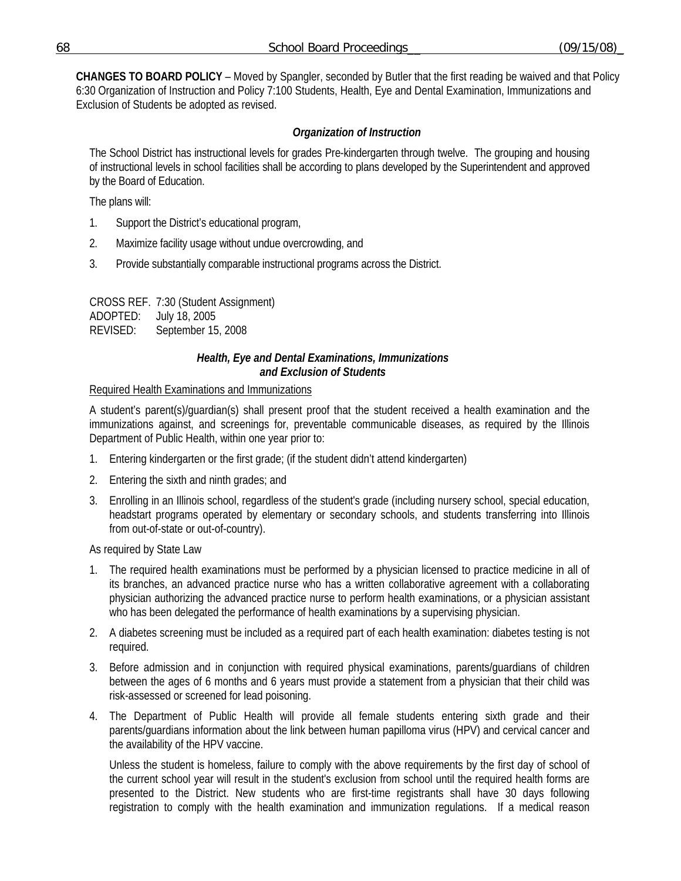**CHANGES TO BOARD POLICY** – Moved by Spangler, seconded by Butler that the first reading be waived and that Policy 6:30 Organization of Instruction and Policy 7:100 Students, Health, Eye and Dental Examination, Immunizations and Exclusion of Students be adopted as revised.

# *Organization of Instruction*

The School District has instructional levels for grades Pre-kindergarten through twelve. The grouping and housing of instructional levels in school facilities shall be according to plans developed by the Superintendent and approved by the Board of Education.

The plans will:

- 1. Support the District's educational program,
- 2. Maximize facility usage without undue overcrowding, and
- 3. Provide substantially comparable instructional programs across the District.

CROSS REF. 7:30 (Student Assignment) ADOPTED: July 18, 2005 REVISED: September 15, 2008

## *Health, Eye and Dental Examinations, Immunizations and Exclusion of Students*

### Required Health Examinations and Immunizations

A student's parent(s)/guardian(s) shall present proof that the student received a health examination and the immunizations against, and screenings for, preventable communicable diseases, as required by the Illinois Department of Public Health, within one year prior to:

- 1. Entering kindergarten or the first grade; (if the student didn't attend kindergarten)
- 2. Entering the sixth and ninth grades; and
- 3. Enrolling in an Illinois school, regardless of the student's grade (including nursery school, special education, headstart programs operated by elementary or secondary schools, and students transferring into Illinois from out-of-state or out-of-country).

As required by State Law

- 1. The required health examinations must be performed by a physician licensed to practice medicine in all of its branches, an advanced practice nurse who has a written collaborative agreement with a collaborating physician authorizing the advanced practice nurse to perform health examinations, or a physician assistant who has been delegated the performance of health examinations by a supervising physician.
- 2. A diabetes screening must be included as a required part of each health examination: diabetes testing is not required.
- 3. Before admission and in conjunction with required physical examinations, parents/guardians of children between the ages of 6 months and 6 years must provide a statement from a physician that their child was risk-assessed or screened for lead poisoning.
- 4. The Department of Public Health will provide all female students entering sixth grade and their parents/guardians information about the link between human papilloma virus (HPV) and cervical cancer and the availability of the HPV vaccine.

Unless the student is homeless, failure to comply with the above requirements by the first day of school of the current school year will result in the student's exclusion from school until the required health forms are presented to the District. New students who are first-time registrants shall have 30 days following registration to comply with the health examination and immunization regulations. If a medical reason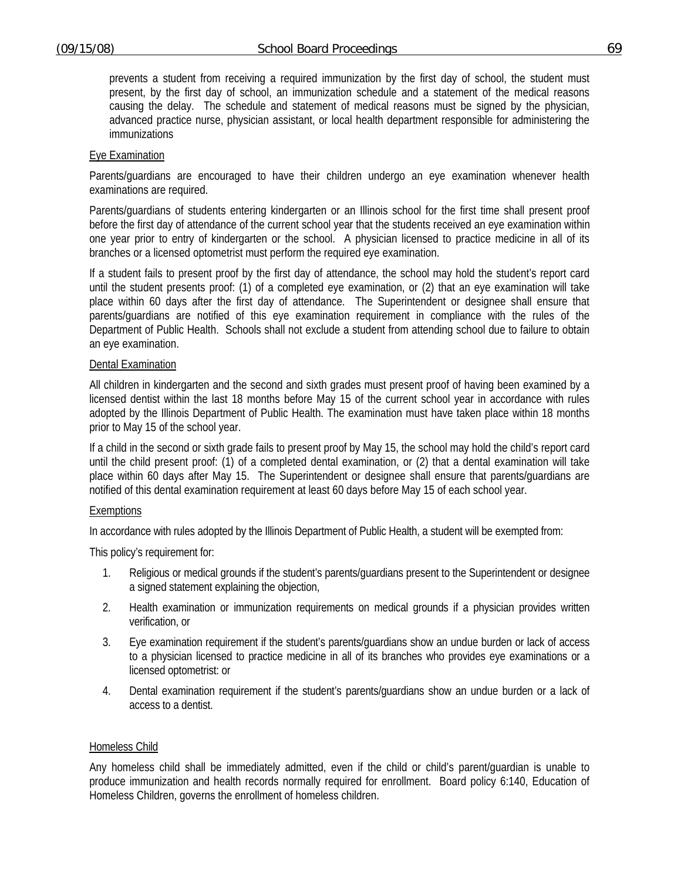prevents a student from receiving a required immunization by the first day of school, the student must present, by the first day of school, an immunization schedule and a statement of the medical reasons causing the delay. The schedule and statement of medical reasons must be signed by the physician, advanced practice nurse, physician assistant, or local health department responsible for administering the immunizations

### Eye Examination

Parents/guardians are encouraged to have their children undergo an eye examination whenever health examinations are required.

Parents/guardians of students entering kindergarten or an Illinois school for the first time shall present proof before the first day of attendance of the current school year that the students received an eye examination within one year prior to entry of kindergarten or the school. A physician licensed to practice medicine in all of its branches or a licensed optometrist must perform the required eye examination.

If a student fails to present proof by the first day of attendance, the school may hold the student's report card until the student presents proof: (1) of a completed eye examination, or (2) that an eye examination will take place within 60 days after the first day of attendance. The Superintendent or designee shall ensure that parents/guardians are notified of this eye examination requirement in compliance with the rules of the Department of Public Health. Schools shall not exclude a student from attending school due to failure to obtain an eye examination.

### Dental Examination

All children in kindergarten and the second and sixth grades must present proof of having been examined by a licensed dentist within the last 18 months before May 15 of the current school year in accordance with rules adopted by the Illinois Department of Public Health. The examination must have taken place within 18 months prior to May 15 of the school year.

If a child in the second or sixth grade fails to present proof by May 15, the school may hold the child's report card until the child present proof: (1) of a completed dental examination, or (2) that a dental examination will take place within 60 days after May 15. The Superintendent or designee shall ensure that parents/guardians are notified of this dental examination requirement at least 60 days before May 15 of each school year.

### Exemptions

In accordance with rules adopted by the Illinois Department of Public Health, a student will be exempted from:

This policy's requirement for:

- 1. Religious or medical grounds if the student's parents/guardians present to the Superintendent or designee a signed statement explaining the objection,
- 2. Health examination or immunization requirements on medical grounds if a physician provides written verification, or
- 3. Eye examination requirement if the student's parents/guardians show an undue burden or lack of access to a physician licensed to practice medicine in all of its branches who provides eye examinations or a licensed optometrist: or
- 4. Dental examination requirement if the student's parents/guardians show an undue burden or a lack of access to a dentist.

### Homeless Child

Any homeless child shall be immediately admitted, even if the child or child's parent/guardian is unable to produce immunization and health records normally required for enrollment. Board policy 6:140, Education of Homeless Children, governs the enrollment of homeless children.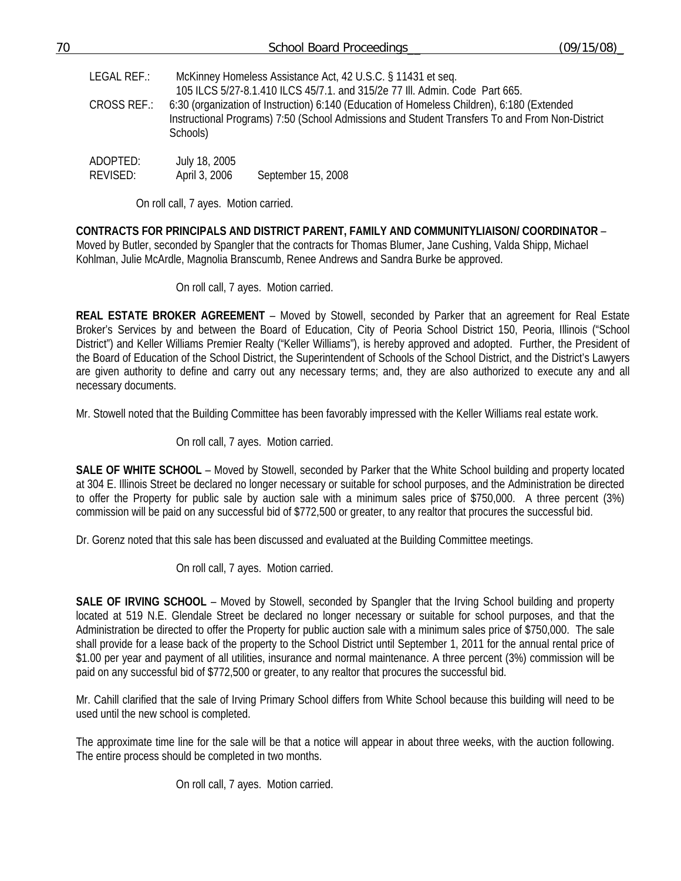| 70 |                                                                                                                                                                                                 |                                | <b>School Board Proceedings</b>                                                                | (09/15/08) |  |
|----|-------------------------------------------------------------------------------------------------------------------------------------------------------------------------------------------------|--------------------------------|------------------------------------------------------------------------------------------------|------------|--|
|    | LEGAL REF.:                                                                                                                                                                                     |                                | McKinney Homeless Assistance Act, 42 U.S.C. § 11431 et seq.                                    |            |  |
|    | 105 ILCS 5/27-8.1.410 ILCS 45/7.1. and 315/2e 77 III. Admin. Code Part 665.<br>6:30 (organization of Instruction) 6:140 (Education of Homeless Children), 6:180 (Extended<br><b>CROSS REF.:</b> |                                |                                                                                                |            |  |
|    |                                                                                                                                                                                                 | Schools)                       | Instructional Programs) 7:50 (School Admissions and Student Transfers To and From Non-District |            |  |
|    | ADOPTED:<br>REVISED:                                                                                                                                                                            | July 18, 2005<br>April 3, 2006 | September 15, 2008                                                                             |            |  |
|    |                                                                                                                                                                                                 |                                |                                                                                                |            |  |

On roll call, 7 ayes. Motion carried.

**CONTRACTS FOR PRINCIPALS AND DISTRICT PARENT, FAMILY AND COMMUNITYLIAISON/ COORDINATOR** – Moved by Butler, seconded by Spangler that the contracts for Thomas Blumer, Jane Cushing, Valda Shipp, Michael Kohlman, Julie McArdle, Magnolia Branscumb, Renee Andrews and Sandra Burke be approved.

On roll call, 7 ayes. Motion carried.

**REAL ESTATE BROKER AGREEMENT** – Moved by Stowell, seconded by Parker that an agreement for Real Estate Broker's Services by and between the Board of Education, City of Peoria School District 150, Peoria, Illinois ("School District") and Keller Williams Premier Realty ("Keller Williams"), is hereby approved and adopted. Further, the President of the Board of Education of the School District, the Superintendent of Schools of the School District, and the District's Lawyers are given authority to define and carry out any necessary terms; and, they are also authorized to execute any and all necessary documents.

Mr. Stowell noted that the Building Committee has been favorably impressed with the Keller Williams real estate work.

On roll call, 7 ayes. Motion carried.

**SALE OF WHITE SCHOOL** – Moved by Stowell, seconded by Parker that the White School building and property located at 304 E. Illinois Street be declared no longer necessary or suitable for school purposes, and the Administration be directed to offer the Property for public sale by auction sale with a minimum sales price of \$750,000. A three percent (3%) commission will be paid on any successful bid of \$772,500 or greater, to any realtor that procures the successful bid.

Dr. Gorenz noted that this sale has been discussed and evaluated at the Building Committee meetings.

On roll call, 7 ayes. Motion carried.

**SALE OF IRVING SCHOOL** – Moved by Stowell, seconded by Spangler that the Irving School building and property located at 519 N.E. Glendale Street be declared no longer necessary or suitable for school purposes, and that the Administration be directed to offer the Property for public auction sale with a minimum sales price of \$750,000. The sale shall provide for a lease back of the property to the School District until September 1, 2011 for the annual rental price of \$1.00 per year and payment of all utilities, insurance and normal maintenance. A three percent (3%) commission will be paid on any successful bid of \$772,500 or greater, to any realtor that procures the successful bid.

Mr. Cahill clarified that the sale of Irving Primary School differs from White School because this building will need to be used until the new school is completed.

The approximate time line for the sale will be that a notice will appear in about three weeks, with the auction following. The entire process should be completed in two months.

On roll call, 7 ayes. Motion carried.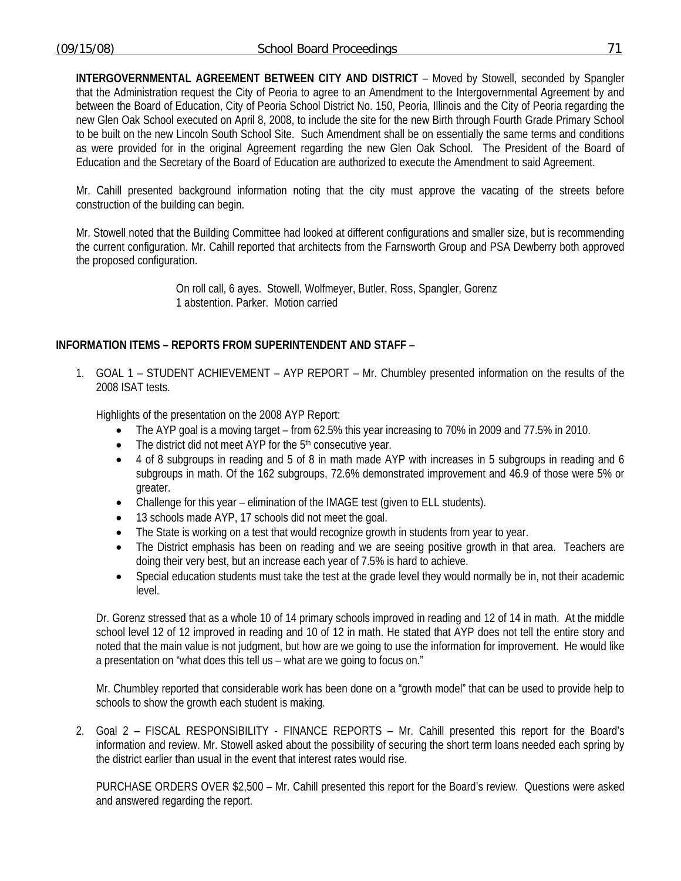**INTERGOVERNMENTAL AGREEMENT BETWEEN CITY AND DISTRICT** – Moved by Stowell, seconded by Spangler that the Administration request the City of Peoria to agree to an Amendment to the Intergovernmental Agreement by and between the Board of Education, City of Peoria School District No. 150, Peoria, Illinois and the City of Peoria regarding the new Glen Oak School executed on April 8, 2008, to include the site for the new Birth through Fourth Grade Primary School to be built on the new Lincoln South School Site. Such Amendment shall be on essentially the same terms and conditions as were provided for in the original Agreement regarding the new Glen Oak School. The President of the Board of Education and the Secretary of the Board of Education are authorized to execute the Amendment to said Agreement.

Mr. Cahill presented background information noting that the city must approve the vacating of the streets before construction of the building can begin.

Mr. Stowell noted that the Building Committee had looked at different configurations and smaller size, but is recommending the current configuration. Mr. Cahill reported that architects from the Farnsworth Group and PSA Dewberry both approved the proposed configuration.

> On roll call, 6 ayes. Stowell, Wolfmeyer, Butler, Ross, Spangler, Gorenz 1 abstention. Parker. Motion carried

## **INFORMATION ITEMS – REPORTS FROM SUPERINTENDENT AND STAFF** –

1. GOAL 1 – STUDENT ACHIEVEMENT – AYP REPORT – Mr. Chumbley presented information on the results of the 2008 ISAT tests.

Highlights of the presentation on the 2008 AYP Report:

- The AYP goal is a moving target from 62.5% this year increasing to 70% in 2009 and 77.5% in 2010.
- The district did not meet AYP for the 5<sup>th</sup> consecutive year.
- 4 of 8 subgroups in reading and 5 of 8 in math made AYP with increases in 5 subgroups in reading and 6 subgroups in math. Of the 162 subgroups, 72.6% demonstrated improvement and 46.9 of those were 5% or greater.
- Challenge for this year elimination of the IMAGE test (given to ELL students).
- 13 schools made AYP, 17 schools did not meet the goal.
- The State is working on a test that would recognize growth in students from year to year.
- The District emphasis has been on reading and we are seeing positive growth in that area. Teachers are doing their very best, but an increase each year of 7.5% is hard to achieve.
- Special education students must take the test at the grade level they would normally be in, not their academic level.

Dr. Gorenz stressed that as a whole 10 of 14 primary schools improved in reading and 12 of 14 in math. At the middle school level 12 of 12 improved in reading and 10 of 12 in math. He stated that AYP does not tell the entire story and noted that the main value is not judgment, but how are we going to use the information for improvement. He would like a presentation on "what does this tell us – what are we going to focus on."

Mr. Chumbley reported that considerable work has been done on a "growth model" that can be used to provide help to schools to show the growth each student is making.

2. Goal 2 – FISCAL RESPONSIBILITY - FINANCE REPORTS – Mr. Cahill presented this report for the Board's information and review. Mr. Stowell asked about the possibility of securing the short term loans needed each spring by the district earlier than usual in the event that interest rates would rise.

 PURCHASE ORDERS OVER \$2,500 – Mr. Cahill presented this report for the Board's review. Questions were asked and answered regarding the report.